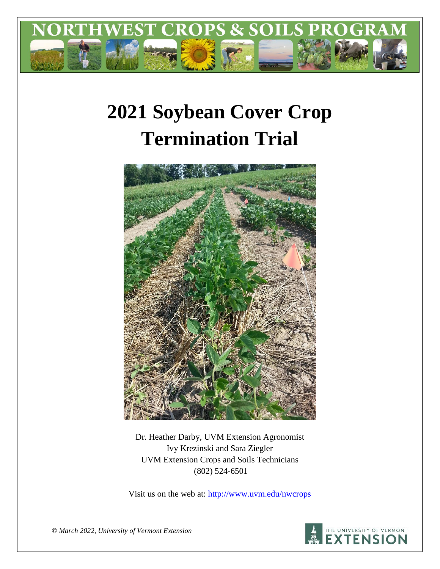

# **2021 Soybean Cover Crop Termination Trial**



Dr. Heather Darby, UVM Extension Agronomist Ivy Krezinski and Sara Ziegler UVM Extension Crops and Soils Technicians (802) 524-6501

Visit us on the web at: <http://www.uvm.edu/nwcrops>



*© March 2022, University of Vermont Extension*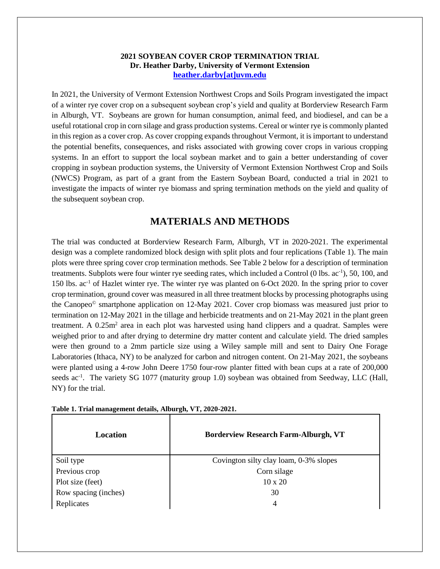### **2021 SOYBEAN COVER CROP TERMINATION TRIAL Dr. Heather Darby, University of Vermont Extension [heather.darby\[at\]uvm.edu](mailto:heather.darby@uvm.edu?subject=2012%20Short%20Season%20Corn%20Report)**

In 2021, the University of Vermont Extension Northwest Crops and Soils Program investigated the impact of a winter rye cover crop on a subsequent soybean crop's yield and quality at Borderview Research Farm in Alburgh, VT. Soybeans are grown for human consumption, animal feed, and biodiesel, and can be a useful rotational crop in corn silage and grass production systems. Cereal or winter rye is commonly planted in this region as a cover crop. As cover cropping expands throughout Vermont, it is important to understand the potential benefits, consequences, and risks associated with growing cover crops in various cropping systems. In an effort to support the local soybean market and to gain a better understanding of cover cropping in soybean production systems, the University of Vermont Extension Northwest Crop and Soils (NWCS) Program, as part of a grant from the Eastern Soybean Board, conducted a trial in 2021 to investigate the impacts of winter rye biomass and spring termination methods on the yield and quality of the subsequent soybean crop.

# **MATERIALS AND METHODS**

The trial was conducted at Borderview Research Farm, Alburgh, VT in 2020-2021. The experimental design was a complete randomized block design with split plots and four replications (Table 1). The main plots were three spring cover crop termination methods. See Table 2 below for a description of termination treatments. Subplots were four winter rye seeding rates, which included a Control (0 lbs. ac<sup>-1</sup>), 50, 100, and 150 lbs. ac-1 of Hazlet winter rye. The winter rye was planted on 6-Oct 2020. In the spring prior to cover crop termination, ground cover was measured in all three treatment blocks by processing photographs using the Canopeo© smartphone application on 12-May 2021. Cover crop biomass was measured just prior to termination on 12-May 2021 in the tillage and herbicide treatments and on 21-May 2021 in the plant green treatment. A  $0.25m<sup>2</sup>$  area in each plot was harvested using hand clippers and a quadrat. Samples were weighed prior to and after drying to determine dry matter content and calculate yield. The dried samples were then ground to a 2mm particle size using a Wiley sample mill and sent to Dairy One Forage Laboratories (Ithaca, NY) to be analyzed for carbon and nitrogen content. On 21-May 2021, the soybeans were planted using a 4-row John Deere 1750 four-row planter fitted with bean cups at a rate of 200,000 seeds ac<sup>-1</sup>. The variety SG 1077 (maturity group 1.0) soybean was obtained from Seedway, LLC (Hall, NY) for the trial.

| <b>Location</b>      | <b>Borderview Research Farm-Alburgh, VT</b> |
|----------------------|---------------------------------------------|
| Soil type            | Covington silty clay loam, 0-3% slopes      |
| Previous crop        | Corn silage                                 |
| Plot size (feet)     | $10 \times 20$                              |
| Row spacing (inches) | 30                                          |
| Replicates           | 4                                           |

**Table 1. Trial management details, Alburgh, VT, 2020-2021.**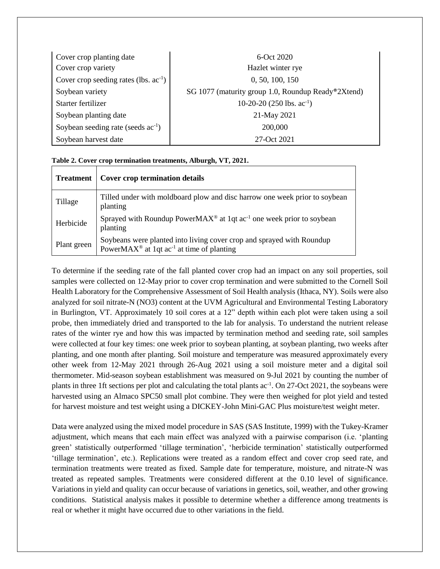| Cover crop planting date                   | $6-Oct$ 2020                                       |
|--------------------------------------------|----------------------------------------------------|
| Cover crop variety                         | Hazlet winter rye                                  |
| Cover crop seeding rates (lbs. $ac^{-1}$ ) | 0, 50, 100, 150                                    |
| Soybean variety                            | SG 1077 (maturity group 1.0, Roundup Ready®2Xtend) |
| Starter fertilizer                         | 10-20-20 (250 lbs. $ac^{-1}$ )                     |
| Soybean planting date                      | 21-May 2021                                        |
| Soybean seeding rate (seeds $ac^{-1}$ )    | 200,000                                            |
| Soybean harvest date                       | 27-Oct 2021                                        |

#### **Table 2. Cover crop termination treatments, Alburgh, VT, 2021.**

| <b>Treatment</b> | <b>Cover crop termination details</b>                                                                                                      |
|------------------|--------------------------------------------------------------------------------------------------------------------------------------------|
| Tillage          | Tilled under with moldboard plow and disc harrow one week prior to soybean<br>planting                                                     |
| Herbicide        | Sprayed with Roundup PowerMAX <sup>®</sup> at 1qt $ac^{-1}$ one week prior to soybean<br>planting                                          |
| Plant green      | Soybeans were planted into living cover crop and sprayed with Roundup<br>PowerMAX <sup>®</sup> at 1qt ac <sup>-1</sup> at time of planting |

To determine if the seeding rate of the fall planted cover crop had an impact on any soil properties, soil samples were collected on 12-May prior to cover crop termination and were submitted to the Cornell Soil Health Laboratory for the Comprehensive Assessment of Soil Health analysis (Ithaca, NY). Soils were also analyzed for soil nitrate-N (NO3) content at the UVM Agricultural and Environmental Testing Laboratory in Burlington, VT. Approximately 10 soil cores at a 12" depth within each plot were taken using a soil probe, then immediately dried and transported to the lab for analysis. To understand the nutrient release rates of the winter rye and how this was impacted by termination method and seeding rate, soil samples were collected at four key times: one week prior to soybean planting, at soybean planting, two weeks after planting, and one month after planting. Soil moisture and temperature was measured approximately every other week from 12-May 2021 through 26-Aug 2021 using a soil moisture meter and a digital soil thermometer. Mid-season soybean establishment was measured on 9-Jul 2021 by counting the number of plants in three 1ft sections per plot and calculating the total plants ac<sup>-1</sup>. On 27-Oct 2021, the soybeans were harvested using an Almaco SPC50 small plot combine. They were then weighed for plot yield and tested for harvest moisture and test weight using a DICKEY-John Mini-GAC Plus moisture/test weight meter.

Data were analyzed using the mixed model procedure in SAS (SAS Institute, 1999) with the Tukey-Kramer adjustment, which means that each main effect was analyzed with a pairwise comparison (i.e. 'planting green' statistically outperformed 'tillage termination', 'herbicide termination' statistically outperformed 'tillage termination', etc.). Replications were treated as a random effect and cover crop seed rate, and termination treatments were treated as fixed. Sample date for temperature, moisture, and nitrate-N was treated as repeated samples. Treatments were considered different at the 0.10 level of significance. Variations in yield and quality can occur because of variations in genetics, soil, weather, and other growing conditions. Statistical analysis makes it possible to determine whether a difference among treatments is real or whether it might have occurred due to other variations in the field.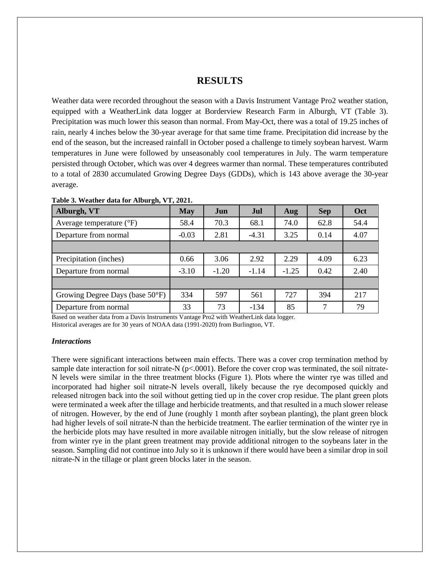## **RESULTS**

Weather data were recorded throughout the season with a Davis Instrument Vantage Pro2 weather station, equipped with a WeatherLink data logger at Borderview Research Farm in Alburgh, VT (Table 3). Precipitation was much lower this season than normal. From May-Oct, there was a total of 19.25 inches of rain, nearly 4 inches below the 30-year average for that same time frame. Precipitation did increase by the end of the season, but the increased rainfall in October posed a challenge to timely soybean harvest. Warm temperatures in June were followed by unseasonably cool temperatures in July. The warm temperature persisted through October, which was over 4 degrees warmer than normal. These temperatures contributed to a total of 2830 accumulated Growing Degree Days (GDDs), which is 143 above average the 30-year average.

| <u>。</u><br>Alburgh, VT           | <b>May</b> | Jun     | Jul     | Aug     | <b>Sep</b> | Oct  |
|-----------------------------------|------------|---------|---------|---------|------------|------|
| Average temperature $(^{\circ}F)$ | 58.4       | 70.3    | 68.1    | 74.0    | 62.8       | 54.4 |
| Departure from normal             | $-0.03$    | 2.81    | $-4.31$ | 3.25    | 0.14       | 4.07 |
|                                   |            |         |         |         |            |      |
| Precipitation (inches)            | 0.66       | 3.06    | 2.92    | 2.29    | 4.09       | 6.23 |
| Departure from normal             | $-3.10$    | $-1.20$ | $-1.14$ | $-1.25$ | 0.42       | 2.40 |
|                                   |            |         |         |         |            |      |
| Growing Degree Days (base 50°F)   | 334        | 597     | 561     | 727     | 394        | 217  |
| Departure from normal             | 33         | 73      | $-134$  | 85      | 7          | 79   |

| Table 3. Weather data for Alburgh, VT, 2021. |
|----------------------------------------------|
|----------------------------------------------|

Based on weather data from a Davis Instruments Vantage Pro2 with WeatherLink data logger. Historical averages are for 30 years of NOAA data (1991-2020) from Burlington, VT.

#### *Interactions*

There were significant interactions between main effects. There was a cover crop termination method by sample date interaction for soil nitrate-N ( $p<0.0001$ ). Before the cover crop was terminated, the soil nitrate-N levels were similar in the three treatment blocks (Figure 1). Plots where the winter rye was tilled and incorporated had higher soil nitrate-N levels overall, likely because the rye decomposed quickly and released nitrogen back into the soil without getting tied up in the cover crop residue. The plant green plots were terminated a week after the tillage and herbicide treatments, and that resulted in a much slower release of nitrogen. However, by the end of June (roughly 1 month after soybean planting), the plant green block had higher levels of soil nitrate-N than the herbicide treatment. The earlier termination of the winter rye in the herbicide plots may have resulted in more available nitrogen initially, but the slow release of nitrogen from winter rye in the plant green treatment may provide additional nitrogen to the soybeans later in the season. Sampling did not continue into July so it is unknown if there would have been a similar drop in soil nitrate-N in the tillage or plant green blocks later in the season.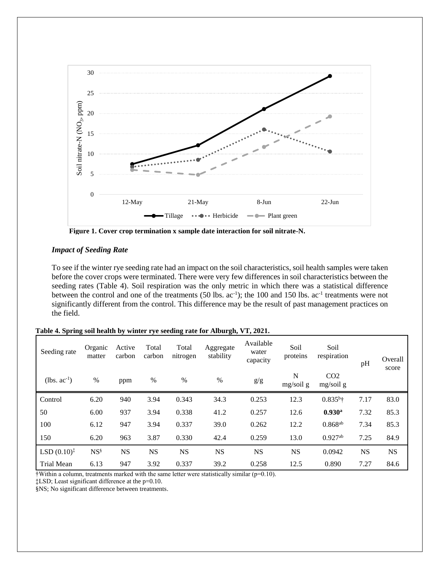

**Figure 1. Cover crop termination x sample date interaction for soil nitrate-N.**

## *Impact of Seeding Rate*

To see if the winter rye seeding rate had an impact on the soil characteristics, soil health samples were taken before the cover crops were terminated. There were very few differences in soil characteristics between the seeding rates (Table 4). Soil respiration was the only metric in which there was a statistical difference between the control and one of the treatments  $(50 \text{ lbs.} \text{ ac}^{-1})$ ; the 100 and 150 lbs.  $\text{ac}^{-1}$  treatments were not significantly different from the control. This difference may be the result of past management practices on the field.

| Seeding rate            | Organic<br>matter | Active<br>carbon | Total<br>carbon | Total<br>nitrogen | Aggregate<br>stability | Available<br>water<br>capacity | Soil<br>proteins | Soil<br>respiration          | pH        | Overall<br>score |
|-------------------------|-------------------|------------------|-----------------|-------------------|------------------------|--------------------------------|------------------|------------------------------|-----------|------------------|
| (lbs. $ac^{-1}$ )       | %                 | ppm              | $\%$            | $\%$              | %                      | g/g                            | N<br>mg/soil g   | CO <sub>2</sub><br>mg/soil g |           |                  |
| Control                 | 6.20              | 940              | 3.94            | 0.343             | 34.3                   | 0.253                          | 12.3             | $0.835^{b}$ †                | 7.17      | 83.0             |
| 50                      | 6.00              | 937              | 3.94            | 0.338             | 41.2                   | 0.257                          | 12.6             | $0.930$ <sup>a</sup>         | 7.32      | 85.3             |
| 100                     | 6.12              | 947              | 3.94            | 0.337             | 39.0                   | 0.262                          | 12.2             | $0.868^{ab}$                 | 7.34      | 85.3             |
| 150                     | 6.20              | 963              | 3.87            | 0.330             | 42.4                   | 0.259                          | 13.0             | $0.927^{ab}$                 | 7.25      | 84.9             |
| LSD $(0.10)^{\ddagger}$ | NS <sup>§</sup>   | <b>NS</b>        | <b>NS</b>       | NS                | <b>NS</b>              | <b>NS</b>                      | <b>NS</b>        | 0.0942                       | <b>NS</b> | <b>NS</b>        |
| <b>Trial Mean</b>       | 6.13              | 947              | 3.92            | 0.337             | 39.2                   | 0.258                          | 12.5             | 0.890                        | 7.27      | 84.6             |

| Table 4. Spring soil health by winter rye seeding rate for Alburgh, VT, 2021. |  |  |
|-------------------------------------------------------------------------------|--|--|
|                                                                               |  |  |

†Within a column, treatments marked with the same letter were statistically similar (p=0.10).

‡LSD; Least significant difference at the p=0.10.

§NS; No significant difference between treatments.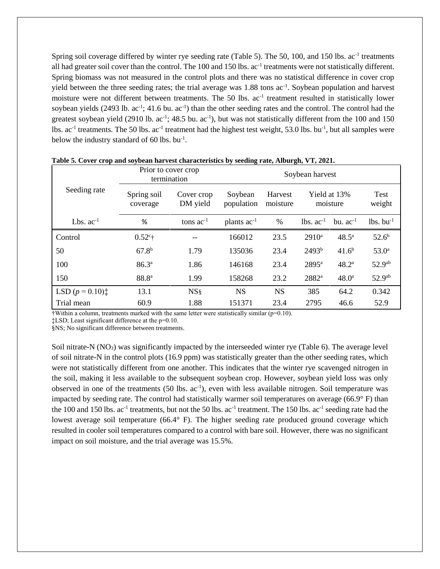Spring soil coverage differed by winter rye seeding rate (Table 5). The 50, 100, and 150 lbs. ac<sup>-1</sup> treatments all had greater soil cover than the control. The 100 and 150 lbs. ac<sup>-1</sup> treatments were not statistically different. Spring biomass was not measured in the control plots and there was no statistical difference in cover crop yield between the three seeding rates; the trial average was 1.88 tons ac<sup>-1</sup>. Soybean population and harvest moisture were not different between treatments. The 50 lbs. ac<sup>-1</sup> treatment resulted in statistically lower soybean yields  $(2493 \text{ lb. ac}^{-1}; 41.6 \text{ bu. ac}^{-1})$  than the other seeding rates and the control. The control had the greatest soybean yield (2910 lb.  $ac^{-1}$ ; 48.5 bu.  $ac^{-1}$ ), but was not statistically different from the 100 and 150 lbs.  $ac^{-1}$  treatments. The 50 lbs.  $ac^{-1}$  treatment had the highest test weight, 53.0 lbs. bu<sup>-1</sup>, but all samples were below the industry standard of 60 lbs.  $bu^{-1}$ .

|                                                   | Prior to cover crop<br>termination |                        | Soybean harvest       |                     |                          |                     |                         |
|---------------------------------------------------|------------------------------------|------------------------|-----------------------|---------------------|--------------------------|---------------------|-------------------------|
| Seeding rate                                      | Spring soil<br>coverage            | Cover crop<br>DM yield | Soybean<br>population | Harvest<br>moisture | Yield at 13%<br>moisture |                     | Test<br>weight          |
| Lbs. $ac^{-1}$                                    | %                                  | tons $ac^{-1}$         | plants $ac^{-1}$      | $\%$                | $lbs. ac-1$              | bu. $ac^{-1}$       | $lbs.$ bu <sup>-1</sup> |
| Control                                           | $0.52^{\circ}$ †                   | --                     | 166012                | 23.5                | $2910^a$                 | $48.5^{\circ}$      | $52.6^{\rm b}$          |
| 50                                                | $67.8^{b}$                         | 1.79                   | 135036                | 23.4                | $2493^{b}$               | $41.6^{b}$          | $53.0^{\circ}$          |
| 100                                               | 86.3 <sup>a</sup>                  | 1.86                   | 146168                | 23.4                | 2895 <sup>a</sup>        | $48.2^{\mathrm{a}}$ | 52.9ab                  |
| 150                                               | 88.8 <sup>a</sup>                  | 1.99                   | 158268                | 23.2                | $2882^a$                 | 48.0 <sup>a</sup>   | 52.9ab                  |
| LSD $(p = 0.10)$ <sup><math>\ddagger</math></sup> | 13.1                               | NS <sub>§</sub>        | <b>NS</b>             | <b>NS</b>           | 385                      | 64.2                | 0.342                   |
| Trial mean                                        | 60.9                               | 1.88                   | 151371                | 23.4                | 2795                     | 46.6                | 52.9                    |

|  |  | Table 5. Cover crop and soybean harvest characteristics by seeding rate, Alburgh, VT, 2021. |  |  |
|--|--|---------------------------------------------------------------------------------------------|--|--|
|  |  |                                                                                             |  |  |

 $\dagger$ Within a column, treatments marked with the same letter were statistically similar ( $p=0.10$ ).

‡LSD; Least significant difference at the p=0.10.

§NS; No significant difference between treatments.

Soil nitrate-N (NO<sub>3</sub>) was significantly impacted by the interseeded winter rye (Table 6). The average level of soil nitrate-N in the control plots (16.9 ppm) was statistically greater than the other seeding rates, which were not statistically different from one another. This indicates that the winter rye scavenged nitrogen in the soil, making it less available to the subsequent soybean crop. However, soybean yield loss was only observed in one of the treatments (50 lbs. ac<sup>-1</sup>), even with less available nitrogen. Soil temperature was impacted by seeding rate. The control had statistically warmer soil temperatures on average (66.9° F) than the 100 and 150 lbs.  $ac^{-1}$  treatments, but not the 50 lbs.  $ac^{-1}$  treatment. The 150 lbs.  $ac^{-1}$  seeding rate had the lowest average soil temperature (66.4° F). The higher seeding rate produced ground coverage which resulted in cooler soil temperatures compared to a control with bare soil. However, there was no significant impact on soil moisture, and the trial average was 15.5%.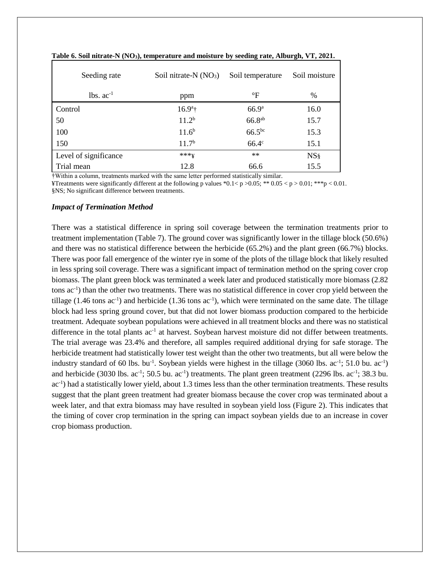| Seeding rate          | Soil nitrate- $N(NO_3)$ | Soil temperature  | Soil moisture   |
|-----------------------|-------------------------|-------------------|-----------------|
| $lbs. ac^{-1}$        | ppm                     | $\rm ^{\circ}F$   | $\frac{0}{0}$   |
| Control               | $16.9^{\circ}$ †        | 66.9 <sup>a</sup> | 16.0            |
| 50                    | 11.2 <sup>b</sup>       | $66.8^{ab}$       | 15.7            |
| 100                   | $11.6^{b}$              | $66.5^{bc}$       | 15.3            |
| 150                   | 11.7 <sup>b</sup>       | 66.4c             | 15.1            |
| Level of significance | $***\chi$               | $**$              | NS <sub>§</sub> |
| Trial mean            | 12.8                    | 66.6              | 15.5            |

**Table 6. Soil nitrate-N (NO3), temperature and moisture by seeding rate, Alburgh, VT, 2021.**

†Within a column, treatments marked with the same letter performed statistically similar.

¥Treatments were significantly different at the following p values  $*0.1 < p > 0.05$ ;  $** 0.05 < p > 0.01$ ;  $*** p < 0.01$ . §NS; No significant difference between treatments.

#### *Impact of Termination Method*

There was a statistical difference in spring soil coverage between the termination treatments prior to treatment implementation (Table 7). The ground cover was significantly lower in the tillage block (50.6%) and there was no statistical difference between the herbicide (65.2%) and the plant green (66.7%) blocks. There was poor fall emergence of the winter rye in some of the plots of the tillage block that likely resulted in less spring soil coverage. There was a significant impact of termination method on the spring cover crop biomass. The plant green block was terminated a week later and produced statistically more biomass (2.82 tons ac-1 ) than the other two treatments. There was no statistical difference in cover crop yield between the tillage  $(1.46 \text{ tons } ac^{-1})$  and herbicide  $(1.36 \text{ tons } ac^{-1})$ , which were terminated on the same date. The tillage block had less spring ground cover, but that did not lower biomass production compared to the herbicide treatment. Adequate soybean populations were achieved in all treatment blocks and there was no statistical difference in the total plants ac<sup>-1</sup> at harvest. Soybean harvest moisture did not differ between treatments. The trial average was 23.4% and therefore, all samples required additional drying for safe storage. The herbicide treatment had statistically lower test weight than the other two treatments, but all were below the industry standard of 60 lbs. bu<sup>-1</sup>. Soybean yields were highest in the tillage (3060 lbs. ac<sup>-1</sup>; 51.0 bu. ac<sup>-1</sup>) and herbicide (3030 lbs.  $ac^{-1}$ ; 50.5 bu.  $ac^{-1}$ ) treatments. The plant green treatment (2296 lbs.  $ac^{-1}$ ; 38.3 bu. ac<sup>-1</sup>) had a statistically lower yield, about 1.3 times less than the other termination treatments. These results suggest that the plant green treatment had greater biomass because the cover crop was terminated about a week later, and that extra biomass may have resulted in soybean yield loss (Figure 2). This indicates that the timing of cover crop termination in the spring can impact soybean yields due to an increase in cover crop biomass production.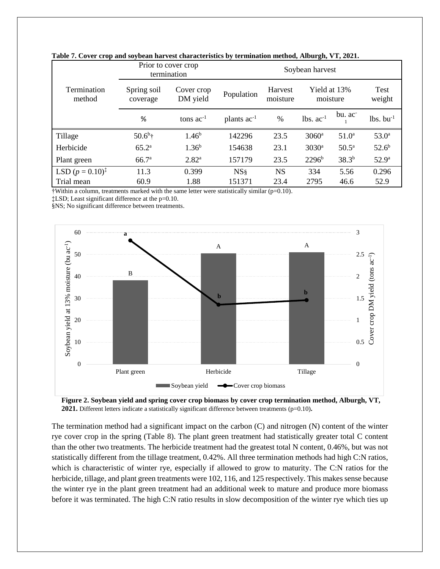|                             |                             | Prior to cover crop<br>termination | $\bullet$<br>Soybean harvest |                     |                          |                |                         |
|-----------------------------|-----------------------------|------------------------------------|------------------------------|---------------------|--------------------------|----------------|-------------------------|
| Termination<br>method       | Spring soil<br>coverage     | Cover crop<br>DM yield             | Population                   | Harvest<br>moisture | Yield at 13%<br>moisture |                | <b>Test</b><br>weight   |
|                             | %                           | tons $ac^{-1}$                     | plants $ac^{-1}$             | $\%$                | $lbs. ac-1$              | bu. ac         | $lbs.$ bu <sup>-1</sup> |
| Tillage                     | $50.6^{\rm b}$ <sup>+</sup> | 1.46 <sup>b</sup>                  | 142296                       | 23.5                | $3060^{\circ}$           | $51.0^a$       | $53.0^{\rm a}$          |
| Herbicide                   | $65.2^{\rm a}$              | 1.36 <sup>b</sup>                  | 154638                       | 23.1                | 3030 <sup>a</sup>        | $50.5^{\rm a}$ | $52.6^{b}$              |
| Plant green                 | 66.7 <sup>a</sup>           | $2.82^{a}$                         | 157179                       | 23.5                | $2296^b$                 | $38.3^{b}$     | 52.9 <sup>a</sup>       |
| LSD $(p = 0.10)^{\ddagger}$ | 11.3                        | 0.399                              | NS <sub>§</sub>              | <b>NS</b>           | 334                      | 5.56           | 0.296                   |
| Trial mean                  | 60.9                        | 1.88                               | 151371                       | 23.4                | 2795                     | 46.6           | 52.9                    |

**Table 7. Cover crop and soybean harvest characteristics by termination method, Alburgh, VT, 2021.**

 $\dagger$ Within a column, treatments marked with the same letter were statistically similar ( $p=0.10$ ).

‡LSD; Least significant difference at the p=0.10.

§NS; No significant difference between treatments.



**Figure 2. Soybean yield and spring cover crop biomass by cover crop termination method, Alburgh, VT, 2021.** Different letters indicate a statistically significant difference between treatments (p=0.10).

The termination method had a significant impact on the carbon (C) and nitrogen (N) content of the winter rye cover crop in the spring (Table 8). The plant green treatment had statistically greater total C content than the other two treatments. The herbicide treatment had the greatest total N content, 0.46%, but was not statistically different from the tillage treatment, 0.42%. All three termination methods had high C:N ratios, which is characteristic of winter rye, especially if allowed to grow to maturity. The C:N ratios for the herbicide, tillage, and plant green treatments were 102, 116, and 125 respectively. This makes sense because the winter rye in the plant green treatment had an additional week to mature and produce more biomass before it was terminated. The high C:N ratio results in slow decomposition of the winter rye which ties up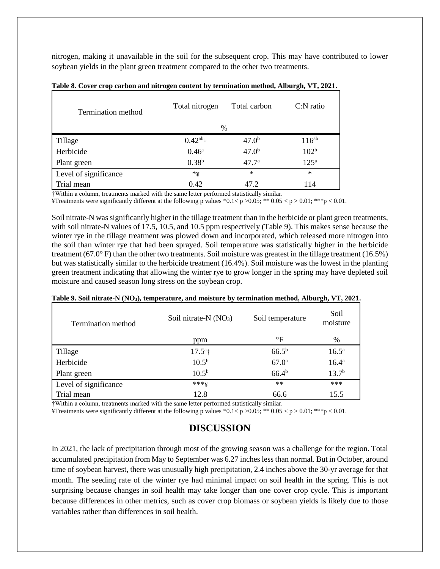nitrogen, making it unavailable in the soil for the subsequent crop. This may have contributed to lower soybean yields in the plant green treatment compared to the other two treatments.

| Termination method    | Total nitrogen | Total carbon      | $C:$ N ratio     |
|-----------------------|----------------|-------------------|------------------|
|                       | %              |                   |                  |
| Tillage               | $0.42^{ab}$ †  | 47.0 <sup>b</sup> | $116^{ab}$       |
| Herbicide             | $0.46^{\circ}$ | 47.0 <sup>b</sup> | 102 <sup>b</sup> |
| Plant green           | $0.38^{b}$     | 47.7 <sup>a</sup> | 125 <sup>a</sup> |
| Level of significance | $*_Y$          | $\ast$            | $\ast$           |
| Trial mean            | 0.42           | 47.2              | 114              |

**Table 8. Cover crop carbon and nitrogen content by termination method, Alburgh, VT, 2021.**

†Within a column, treatments marked with the same letter performed statistically similar.

¥Treatments were significantly different at the following p values  $*0.1 < p > 0.05$ ;  $** 0.05 < p > 0.01$ ;  $*** p < 0.01$ .

Soil nitrate-N was significantly higher in the tillage treatment than in the herbicide or plant green treatments, with soil nitrate-N values of 17.5, 10.5, and 10.5 ppm respectively (Table 9). This makes sense because the winter rye in the tillage treatment was plowed down and incorporated, which released more nitrogen into the soil than winter rye that had been sprayed. Soil temperature was statistically higher in the herbicide treatment (67.0° F) than the other two treatments. Soil moisture was greatest in the tillage treatment (16.5%) but was statistically similar to the herbicide treatment (16.4%). Soil moisture was the lowest in the planting green treatment indicating that allowing the winter rye to grow longer in the spring may have depleted soil moisture and caused season long stress on the soybean crop.

| Termination method    | Soil nitrate- $N(NO_3)$ | Soil temperature | Soil<br>moisture  |
|-----------------------|-------------------------|------------------|-------------------|
|                       | ppm                     | $\circ$ F        | $\frac{0}{0}$     |
| Tillage               | $17.5^{\circ}$ †        | $66.5^{b}$       | $16.5^{\rm a}$    |
| Herbicide             | $10.5^{b}$              | $67.0^{\rm a}$   | $16.4^{\rm a}$    |
| Plant green           | $10.5^{\rm b}$          | $66.4^{b}$       | 13.7 <sup>b</sup> |
| Level of significance | $***X$                  | **               | ***               |
| Trial mean            | 12.8                    | 66.6             | 15.5              |

**Table 9. Soil nitrate-N (NO3), temperature, and moisture by termination method, Alburgh, VT, 2021.**

†Within a column, treatments marked with the same letter performed statistically similar.

¥Treatments were significantly different at the following p values  $*0.1 < p > 0.05$ ;  $** 0.05 < p > 0.01$ ;  $*** p < 0.01$ .

# **DISCUSSION**

In 2021, the lack of precipitation through most of the growing season was a challenge for the region. Total accumulated precipitation from May to September was 6.27 inches less than normal. But in October, around time of soybean harvest, there was unusually high precipitation, 2.4 inches above the 30-yr average for that month. The seeding rate of the winter rye had minimal impact on soil health in the spring. This is not surprising because changes in soil health may take longer than one cover crop cycle. This is important because differences in other metrics, such as cover crop biomass or soybean yields is likely due to those variables rather than differences in soil health.